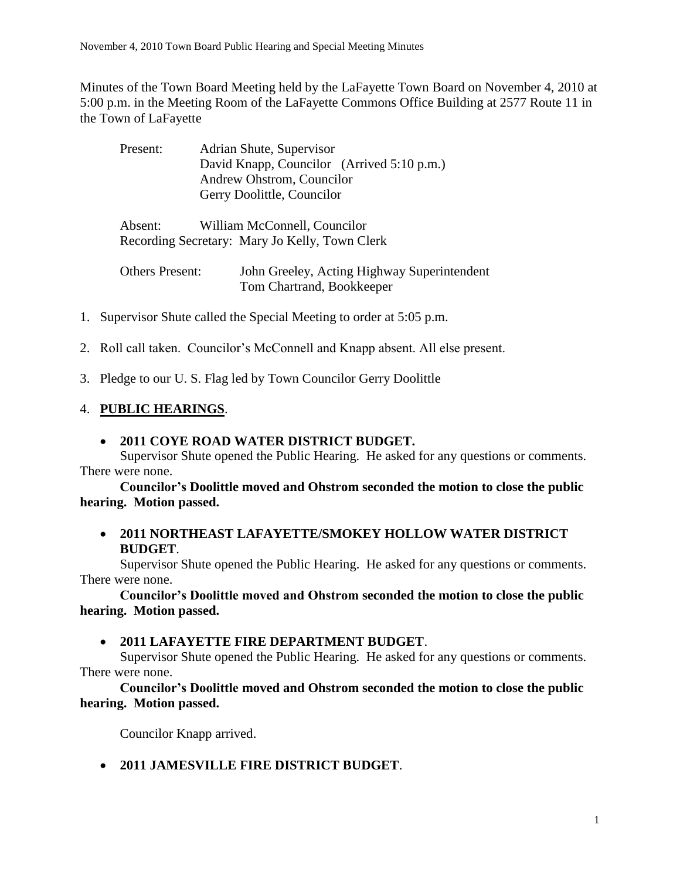Minutes of the Town Board Meeting held by the LaFayette Town Board on November 4, 2010 at 5:00 p.m. in the Meeting Room of the LaFayette Commons Office Building at 2577 Route 11 in the Town of LaFayette

| Present:               | Adrian Shute, Supervisor                       |
|------------------------|------------------------------------------------|
|                        | David Knapp, Councilor (Arrived 5:10 p.m.)     |
|                        | Andrew Ohstrom, Councilor                      |
|                        | Gerry Doolittle, Councilor                     |
|                        |                                                |
| Absent:                | William McConnell, Councilor                   |
|                        | Recording Secretary: Mary Jo Kelly, Town Clerk |
|                        |                                                |
| <b>Others Present:</b> | John Greeley, Acting Highway Superintendent    |

- 1. Supervisor Shute called the Special Meeting to order at 5:05 p.m.
- 2. Roll call taken. Councilor's McConnell and Knapp absent. All else present.

Tom Chartrand, Bookkeeper

3. Pledge to our U. S. Flag led by Town Councilor Gerry Doolittle

# 4. **PUBLIC HEARINGS**.

### **2011 COYE ROAD WATER DISTRICT BUDGET.**

Supervisor Shute opened the Public Hearing. He asked for any questions or comments. There were none.

**Councilor's Doolittle moved and Ohstrom seconded the motion to close the public hearing. Motion passed.**

### **2011 NORTHEAST LAFAYETTE/SMOKEY HOLLOW WATER DISTRICT BUDGET**.

Supervisor Shute opened the Public Hearing. He asked for any questions or comments. There were none.

**Councilor's Doolittle moved and Ohstrom seconded the motion to close the public hearing. Motion passed.**

### **2011 LAFAYETTE FIRE DEPARTMENT BUDGET**.

Supervisor Shute opened the Public Hearing. He asked for any questions or comments. There were none.

**Councilor's Doolittle moved and Ohstrom seconded the motion to close the public hearing. Motion passed.**

Councilor Knapp arrived.

**2011 JAMESVILLE FIRE DISTRICT BUDGET**.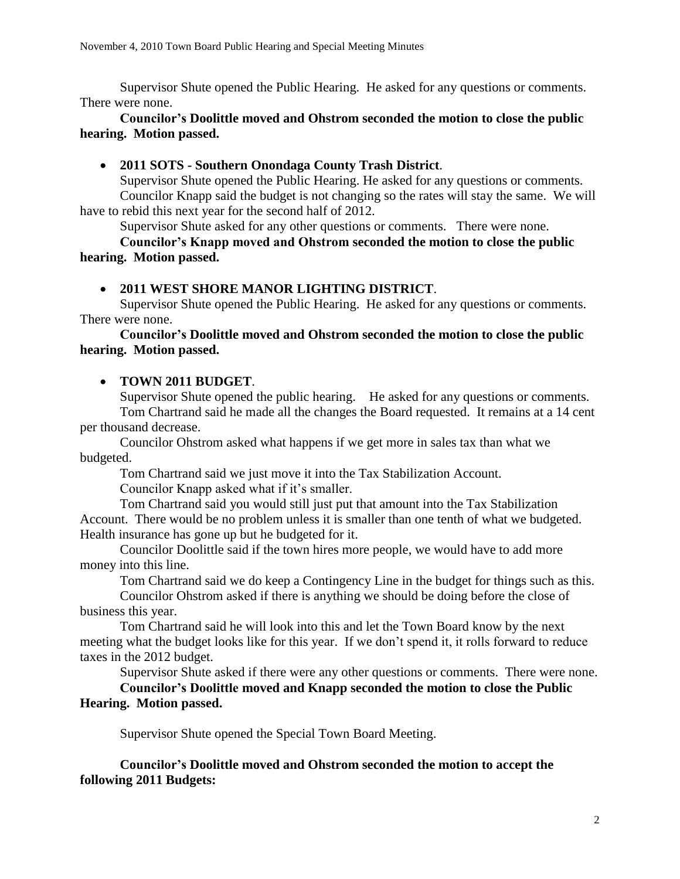Supervisor Shute opened the Public Hearing. He asked for any questions or comments. There were none.

#### **Councilor's Doolittle moved and Ohstrom seconded the motion to close the public hearing. Motion passed.**

## **2011 SOTS - Southern Onondaga County Trash District**.

Supervisor Shute opened the Public Hearing. He asked for any questions or comments. Councilor Knapp said the budget is not changing so the rates will stay the same. We will have to rebid this next year for the second half of 2012.

Supervisor Shute asked for any other questions or comments. There were none.

**Councilor's Knapp moved and Ohstrom seconded the motion to close the public hearing. Motion passed.**

# **2011 WEST SHORE MANOR LIGHTING DISTRICT**.

Supervisor Shute opened the Public Hearing. He asked for any questions or comments. There were none.

**Councilor's Doolittle moved and Ohstrom seconded the motion to close the public hearing. Motion passed.**

# **TOWN 2011 BUDGET**.

Supervisor Shute opened the public hearing. He asked for any questions or comments. Tom Chartrand said he made all the changes the Board requested. It remains at a 14 cent per thousand decrease.

Councilor Ohstrom asked what happens if we get more in sales tax than what we budgeted.

Tom Chartrand said we just move it into the Tax Stabilization Account. Councilor Knapp asked what if it's smaller.

Tom Chartrand said you would still just put that amount into the Tax Stabilization Account. There would be no problem unless it is smaller than one tenth of what we budgeted. Health insurance has gone up but he budgeted for it.

Councilor Doolittle said if the town hires more people, we would have to add more money into this line.

Tom Chartrand said we do keep a Contingency Line in the budget for things such as this.

Councilor Ohstrom asked if there is anything we should be doing before the close of business this year.

Tom Chartrand said he will look into this and let the Town Board know by the next meeting what the budget looks like for this year. If we don't spend it, it rolls forward to reduce taxes in the 2012 budget.

Supervisor Shute asked if there were any other questions or comments. There were none. **Councilor's Doolittle moved and Knapp seconded the motion to close the Public** 

### **Hearing. Motion passed.**

Supervisor Shute opened the Special Town Board Meeting.

**Councilor's Doolittle moved and Ohstrom seconded the motion to accept the following 2011 Budgets:**